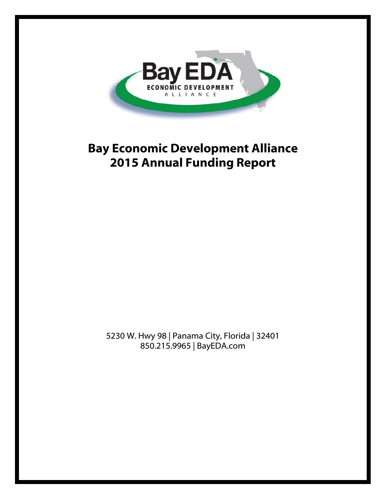

# **Bay Economic Development Alliance 2015 Annual Funding Report**

5230 W. Hwy 98 | Panama City, Florida | 32401 850.215.9965 | BayEDA.com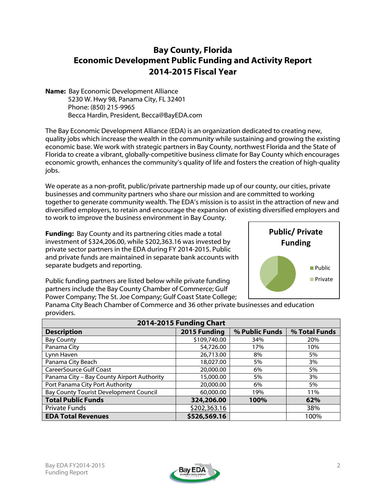# **Bay County, Florida Economic Development Public Funding and Activity Report 2014-2015 Fiscal Year**

**Name:** Bay Economic Development Alliance 5230 W. Hwy 98, Panama City, FL 32401 Phone: (850) 215-9965 Becca Hardin, President, Becca@BayEDA.com

The Bay Economic Development Alliance (EDA) is an organization dedicated to creating new, quality jobs which increase the wealth in the community while sustaining and growing the existing economic base. We work with strategic partners in Bay County, northwest Florida and the State of Florida to create a vibrant, globally-competitive business climate for Bay County which encourages economic growth, enhances the community's quality of life and fosters the creation of high-quality jobs.

We operate as a non-profit, public/private partnership made up of our county, our cities, private businesses and community partners who share our mission and are committed to working together to generate community wealth. The EDA's mission is to assist in the attraction of new and diversified employers, to retain and encourage the expansion of existing diversified employers and to work to improve the business environment in Bay County.

**Funding:** Bay County and its partnering cities made a total investment of \$324,206.00, while \$202,363.16 was invested by private sector partners in the EDA during FY 2014-2015. Public and private funds are maintained in separate bank accounts with separate budgets and reporting.

Public funding partners are listed below while private funding partners include the Bay County Chamber of Commerce; Gulf Power Company; The St. Joe Company; Gulf Coast State College;



Panama City Beach Chamber of Commerce and 36 other private businesses and education providers.

| 2014-2015 Funding Chart                    |              |                |               |  |  |  |
|--------------------------------------------|--------------|----------------|---------------|--|--|--|
| <b>Description</b>                         | 2015 Funding | % Public Funds | % Total Funds |  |  |  |
| <b>Bay County</b>                          | \$109,740.00 | 34%            | 20%           |  |  |  |
| Panama City                                | 54,726.00    | 17%            | 10%           |  |  |  |
| Lynn Haven                                 | 26,713.00    | 8%             | 5%            |  |  |  |
| Panama City Beach                          | 18,027.00    | 5%             | 3%            |  |  |  |
| <b>CareerSource Gulf Coast</b>             | 20,000.00    | 6%             | 5%            |  |  |  |
| Panama City - Bay County Airport Authority | 15,000.00    | 5%             | 3%            |  |  |  |
| Port Panama City Port Authority            | 20,000.00    | 6%             | 5%            |  |  |  |
| Bay County Tourist Development Council     | 60,000.00    | 19%            | 11%           |  |  |  |
| <b>Total Public Funds</b>                  | 324,206.00   | 100%           | 62%           |  |  |  |
| <b>Private Funds</b>                       | \$202,363.16 |                | 38%           |  |  |  |
| <b>EDA Total Revenues</b>                  | \$526,569.16 |                | 100%          |  |  |  |

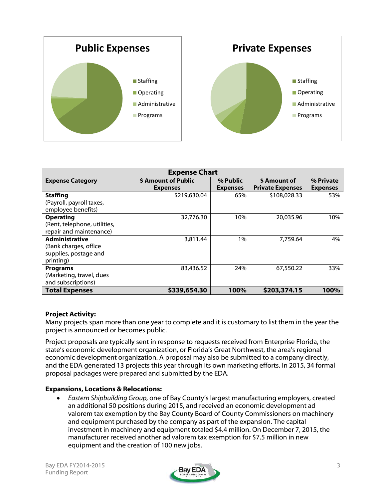



| <b>Expense Chart</b>                                                                 |                     |                 |                         |                 |  |  |
|--------------------------------------------------------------------------------------|---------------------|-----------------|-------------------------|-----------------|--|--|
| <b>Expense Category</b>                                                              | \$ Amount of Public | % Public        | \$ Amount of            | % Private       |  |  |
|                                                                                      | <b>Expenses</b>     | <b>Expenses</b> | <b>Private Expenses</b> | <b>Expenses</b> |  |  |
| <b>Staffing</b><br>(Payroll, payroll taxes,                                          | \$219,630.04        | 65%             | \$108,028.33            | 53%             |  |  |
| employee benefits)                                                                   |                     |                 |                         |                 |  |  |
| <b>Operating</b><br>(Rent, telephone, utilities,<br>repair and maintenance)          | 32,776.30           | 10%             | 20,035.96               | 10%             |  |  |
| <b>Administrative</b><br>(Bank charges, office<br>supplies, postage and<br>printing) | 3,811.44            | 1%              | 7,759.64                | 4%              |  |  |
| <b>Programs</b><br>(Marketing, travel, dues<br>and subscriptions)                    | 83,436.52           | 24%             | 67,550.22               | 33%             |  |  |
| <b>Total Expenses</b>                                                                | \$339,654.30        | 100%            | \$203,374.15            | 100%            |  |  |

## **Project Activity:**

Many projects span more than one year to complete and it is customary to list them in the year the project is announced or becomes public.

Project proposals are typically sent in response to requests received from Enterprise Florida, the state's economic development organization, or Florida's Great Northwest, the area's regional economic development organization. A proposal may also be submitted to a company directly, and the EDA generated 13 projects this year through its own marketing efforts. In 2015, 34 formal proposal packages were prepared and submitted by the EDA.

#### **Expansions, Locations & Relocations:**

• *Eastern Shipbuilding Group,* one of Bay County's largest manufacturing employers, created an additional 50 positions during 2015, and received an economic development ad valorem tax exemption by the Bay County Board of County Commissioners on machinery and equipment purchased by the company as part of the expansion. The capital investment in machinery and equipment totaled \$4.4 million. On December 7, 2015, the manufacturer received another ad valorem tax exemption for \$7.5 million in new equipment and the creation of 100 new jobs.

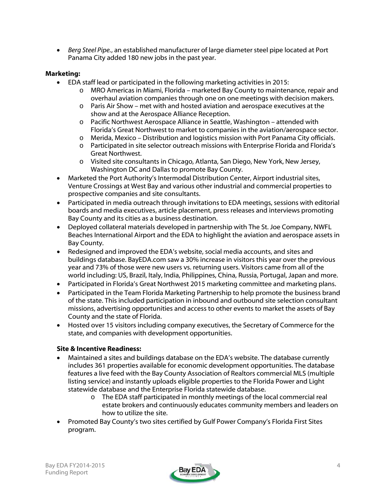• *Berg Steel Pipe.*, an established manufacturer of large diameter steel pipe located at Port Panama City added 180 new jobs in the past year.

# **Marketing:**

- EDA staff lead or participated in the following marketing activities in 2015:
	- o MRO Americas in Miami, Florida marketed Bay County to maintenance, repair and overhaul aviation companies through one on one meetings with decision makers.
	- o Paris Air Show met with and hosted aviation and aerospace executives at the show and at the Aerospace Alliance Reception.
	- o Pacific Northwest Aerospace Alliance in Seattle, Washington attended with Florida's Great Northwest to market to companies in the aviation/aerospace sector.
	- $\circ$  Merida, Mexico Distribution and logistics mission with Port Panama City officials.
	- o Participated in site selector outreach missions with Enterprise Florida and Florida's Great Northwest.
	- o Visited site consultants in Chicago, Atlanta, San Diego, New York, New Jersey, Washington DC and Dallas to promote Bay County.
- Marketed the Port Authority's Intermodal Distribution Center, Airport industrial sites, Venture Crossings at West Bay and various other industrial and commercial properties to prospective companies and site consultants.
- Participated in media outreach through invitations to EDA meetings, sessions with editorial boards and media executives, article placement, press releases and interviews promoting Bay County and its cities as a business destination.
- Deployed collateral materials developed in partnership with The St. Joe Company, NWFL Beaches International Airport and the EDA to highlight the aviation and aerospace assets in Bay County.
- Redesigned and improved the EDA's website, social media accounts, and sites and buildings database. BayEDA.com saw a 30% increase in visitors this year over the previous year and 73% of those were new users vs. returning users. Visitors came from all of the world including: US, Brazil, Italy, India, Philippines, China, Russia, Portugal, Japan and more.
- Participated in Florida's Great Northwest 2015 marketing committee and marketing plans.
- Participated in the Team Florida Marketing Partnership to help promote the business brand of the state. This included participation in inbound and outbound site selection consultant missions, advertising opportunities and access to other events to market the assets of Bay County and the state of Florida.
- Hosted over 15 visitors including company executives, the Secretary of Commerce for the state, and companies with development opportunities.

## **Site & Incentive Readiness:**

- Maintained a sites and buildings database on the EDA's website. The database currently includes 361 properties available for economic development opportunities. The database features a live feed with the Bay County Association of Realtors commercial MLS (multiple listing service) and instantly uploads eligible properties to the Florida Power and Light statewide database and the Enterprise Florida statewide database.
	- o The EDA staff participated in monthly meetings of the local commercial real estate brokers and continuously educates community members and leaders on how to utilize the site.
- Promoted Bay County's two sites certified by Gulf Power Company's Florida First Sites program.